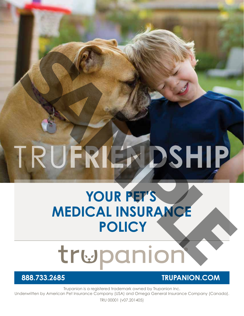# TRU**FRIENDSHIP** TRUFRIENDSHIP

# **YOUR PET'S MEDICAL INSURANCE POLICY**

**888.733.2685 TRUPANION.COM**

Trupanion is a registered trademark owned by Trupanion Inc.

Underwritten by American Pet Insurance Company (USA) and Omega General Insurance Company (Canada).

TRU 00001 (v07.201405)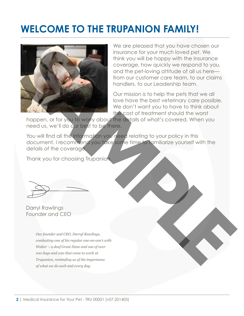# **WELCOME TO THE TRUPANION FAMILY!**



We are pleased that you have chosen our insurance for your much loved pet. We think you will be happy with the insurance coverage, how quickly we respond to you, and the pet-loving attitude of all us here from our customer care team, to our claims handlers, to our Leadership team.

Our mission is to help the pets that we all love have the best veterinary care possible. We don't want you to have to think about the cost of treatment should the worst

happen, or for you to worry about the details of what's covered. When you need us, we'll do our best to be there.

You will find all the information you need relating to your policy in this document. I recommend you take some time to familiarize yourself with the details of the coverage.

Thank you for choosing Trupanion.

Darryl Rawlings Founder and CEO

*Our founder and CEO, Darryl Rawlings, conducting one of his regular one-on-one's with Walter – a deaf Great Dane and one of over 100 dogs and cats that come to work at Trupanion, reminding us of the importance of what we do each and every day.*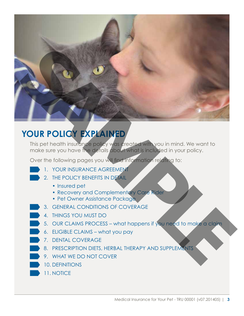

## **YOUR POLICY EXPLAINED**

This pet health insurance policy was created with you in mind. We want to make sure you have the details about what is included in your policy.

Over the following pages you will find information relating to:

- 1. YOUR INSURANCE AGREEMENT
	- 2. THE POLICY BENEFITS IN DETAIL
		- Insured pet
		- Recovery and Complementary Care Rider
		- Pet Owner Assistance Package
- 3. GENERAL CONDITIONS OF COVERAGE
- 4. THINGS YOU MUST DO
- 5. OUR CLAIMS PROCESS what happens if you need to make a claim
- 6. ELIGIBLE CLAIMS what you pay
- 7. DENTAL COVERAGE
- 8. PRESCRIPTION DIETS, HERBAL THERAPY AND SUPPLEMENTS
- 9. WHAT WE DO NOT COVER
- 10. DEFINITIONS
- 11. NOTICE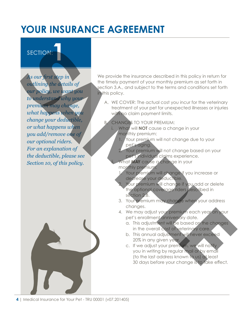# **YOUR INSURANCE AGREEMENT**

## SECTION:

*As our first step in outlining the details of our policy, we want you to understand why your premium may change, what happens when you change your deductible, or what happens when you add/remove one of our optional riders. For an explanation of the deductible, please see Section 10, of this policy.* SECTION:<br>
Me provide the insvariage described in this policy in return for<br>
a strong the details of<br>
the fine strong point of your monitor set of the term<br>
in the pressure of the strong point of the strong term<br>
the pressu

We provide the insurance described in this policy in return for the timely payment of your monthly premium as set forth in section 3.A., and subject to the terms and conditions set forth in this policy.

- A. WE COVER: The actual cost you incur for the veterinary treatment of your pet for unexpected illnesses or injuries with no claim payment limits.
	- CHANGES TO YOUR PREMIUM:
		- i. What will **NOT** cause a change in your monthly premium:
		- 1. Your premium will not change due to your pet's aging.
		- 2. Your premium will not change based on your pet's individual claims experience.
	- ii. What **MAY** cause a change in your monthly premium:
		- Your premium will change if you increase or decrease your deductible.
		- Your premium will change if you add or delete the optional coverage riders described in section 2.B.
		- 3. Your premium may change when your address changes.
		- 4. We may adjust your premium each year on your pet's enrollment anniversary date.
			- a. This adjustment will be based on the changes in the overall cost of veterinary care.
			- b. This annual adjustment will never exceed 20% in any given year.
			- c. If we adjust your premium, we will notify you in writing by regular mail or by email (to the last address known to us) at least 30 days before your change is to take effect.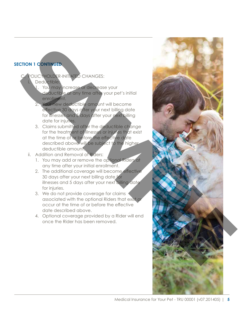## **SECTION 1 CONTINUED**

POLICYHOLDER-INITIATED CHANGES:

- Deductible:
	- 1. You may increase or decrease your deductible at any time after your pet's initial enrollment.
	- 2. Your new deductible amount will become effective 30 days after your next billing date for illnesses and 5 days after your next billing date for injuries.
- 3. Claims submitted after the deductible change for the treatment of illnesses or injuries that exist at the time of or before the effective date described above will be subject to the higher deductible amount. **SCRIPT AND AN ACCEPT AN ACCEPT AN ACCEPT AN ACCEPT AN ACCEPT AND ACCEPT AND ACCEPT AND ACCEPT AND ACCEPT AND ACCEPT AND ACCEPT AND ACCEPT AND ACCEPT AND ACCEPT AND ACCEPT AND ACCEPT AND ACCEPT AND ACCEPT AND ACCEPT AND AC** 
	- ii. Addition and Removal of Riders:
		- 1. You may add or remove the optional Riders at any time after your initial enrollment.
		- 2. The additional coverage will become effective 30 days after your next billing date for illnesses and 5 days after your next billing date for injuries.
		- 3. We do not provide coverage for claims associated with the optional Riders that exist or occur at the time of or before the effective date described above.
		- 4. Optional coverage provided by a Rider will end once the Rider has been removed.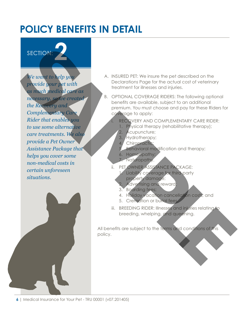# **POLICY BENEFITS IN DETAIL**

# SECTION:

*We want to help you provide your pet with as much medical care as necessary, so we created the Recovery and Complementary Care Rider that enables you to use some alternative care treatments. We also provide a Pet Owner Assistance Package that helps you cover some non-medical costs in certain unforeseen situations.* **SECTION:**<br>
We went to help you<br>
the protection of the state of the control of the most of the most of the most of the most of the most of the control of the most of the control of the most of the control of the control of



- A. INSURED PET: We insure the pet described on the Declarations Page for the actual cost of veterinary treatment for illnesses and injuries.
- B. OPTIONAL COVERAGE RIDERS: The following optional benefits are available, subject to an additional premium. You must choose and pay for these Riders for coverage to apply:
	- RECOVERY AND COMPLEMENTARY CARE RIDER:
		- Physical therapy (rehabilitative therapy);
	- 2. Acupuncture;
	- 3. Hydrotherapy;
	- 4. Chiropractic;
	- 5. Behavioral modification and therapy;
	- 6. Homeopathy;
	- 7. Naturopathy.
	- ii. PET OWNER ASSISTANCE PACKAGE:
		- 1. Liability coverage for third-party property damage;
		- 2. Advertising and reward;
		- 3. Boarding fees;
		- 4. Holiday vacation cancellation costs; and
		- 5. Cremation or burial fees.
	- iii. BREEDING RIDER: Illnesses and injuries relating to breeding, whelping, and queening.

All benefits are subject to the terms and conditions of this policy.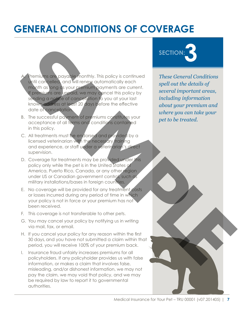# **GENERAL CONDITIONS OF COVERAGE**

Premiums are payable monthly. This policy is continued until cancelled, and will renew automatically each month as long as your premium payments are current. If premiums are unpaid, we may cancel this policy by sending a notice of cancellation to you at your last known address at least 20 days before the effective date of cancellation. **SECTION:**<br> **SECTION:**<br> **SECTION:**<br> **SECTION:**<br> **SECTION:**<br> **SECTION:**<br> **SECTION:**<br> **SECTION:**<br> **SECTION:**<br> **SECTION:**<br> **SECTION:**<br> **SECTION:**<br> **SECTION:**<br> **SECTION:**<br> **SECTION:**<br> **SECTION:**<br> **SECTION:**<br> **SECTION:**<br> **SECTI** 

- B. The successful payment of premiums constitutes your acceptance of all terms and conditions contained in this policy.
- C. All treatments must be endorsed and provided by a licensed veterinarian with the necessary training and experience, or staff under a veterinarian's direct supervision.
- D. Coverage for treatments may be provided under this policy only while the pet is in the United States of America, Puerto Rico, Canada, or any other region under US or Canadian government control, such as military installations/bases in foreign countries.
- E. No coverage will be provided for any treatment costs or losses incurred during any period of time in which your policy is not in force or your premium has not been received.
- F. This coverage is not transferable to other pets.
- G. You may cancel your policy by notifying us in writing via mail, fax, or email.
- H. If you cancel your policy for any reason within the first 30 days, and you have not submitted a claim within that period, you will receive 100% of your premium back.
- I. Insurance fraud unfairly increases premiums for all policyholders. If any policyholder provides us with false information, or makes a claim that involves false, misleading, and/or dishonest information, we may not pay the claim, we may void that policy, and we may be required by law to report it to governmental authorities.



*These General Conditions spell out the details of several important areas, including information about your premium and where you can take your pet to be treated.*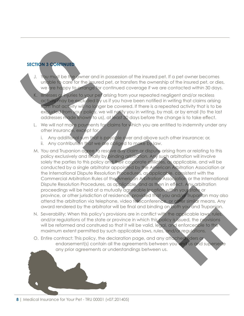## **SECTION 3 CONTINUED**

- J. You must be the owner and in possession of the insured pet. If a pet owner becomes unable to care for the insured pet, or transfers the ownership of the insured pet, or dies, we are happy to arrange for continued coverage if we are contacted within 30 days.
	- K. Illnesses or injuries to your pet arising from your repeated negligent and/or reckless activity may be excluded/by us if you have been notified in writing that claims arising from that activity will no longer be covered. If there is a repeated activity that is to be excluded from your policy, we will notify you in writing, by mail, or by email (to the last addresses made known to us), at least 30 days before the change is to take effect.
	- L. We will not make payments for claims for which you are entitled to indemnity under any other insurance, except for:
		- i. Any additional sum that is payable over and above such other insurance; or,
		- ii. Any contribution that we are obliged to make by law.
- M. You and Trupanion agree to resolve any claim or dispute arising from or relating to this policy exclusively and finally by binding arbitration. Any such arbitration will involve solely the parties to this policy and their corporate affiliates, as applicable, and will be conducted by a single arbitrator appointed by the American Arbitration Association or the International Dispute Resolution Procedures, as applicable, consistent with the Commercial Arbitration Rules of the American Arbitration Association or the International Dispute Resolution Procedures, as applicable, and as then in effect. Any arbitration proceedings will be held at a mutually agreeable location within your state or province, or other jurisdiction of residence, provided that you and/or Trupanion may also attend the arbitration via telephone, video teleconference, or other similar means. Any award rendered by the arbitrator will be final and binding on both you and Trupanion. **SECTION 3 CONTINUES**<br> **SECTION 3 CONTINUES**<br> **SECTION 2018 TO END TO THE CONTINUES**<br> **SECTION 2018 TO END TO THE CONTINUES** THE CONTINUES TOWER THE CONTINUES TO THE CONTINUES TO THE CONTINUES TO THE CONTINUES TO THE CONTI
	- N. Severability: When this policy's provisions are in conflict with the applicable laws, rules, and/or regulations of the state or province in which this policy is issued, the provisions will be reformed and construed so that it will be valid, legal, and enforceable to the maximum extent permitted by such applicable laws, rules, and/or regulations.
	- O. Entire contract: This policy, the declaration page, and any attached riders or endorsement(s) contain all the agreements between you and us and supersede any prior agreements or understandings between us.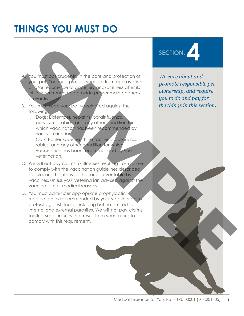# **THINGS YOU MUST DO**

You must act prudently in the care and protection of your pet. You must protect your pet from aggravation and/or recurrence of any injury and/or illness after its initial occurrence and provide proper maintenance/ preventive care.

- B. You must keep your pet vaccinated against the following:
	- i. Dogs: Distemper, hepatitis, parainfluenza, parvovirus, rabies, and any other condition for which vaccination has been recommended by your veterinarian.
	- ii. Cats: Panleukopenia, rhinotracheitis, calici virus, rabies, and any other condition for which vaccination has been recommended by your veterinarian.
- C. We will not pay claims for illnesses resulting from failure to comply with the vaccination guidelines described above, or other illnesses that are preventable by vaccines, unless your veterinarian advised against the vaccination for medical reasons.
- D. You must administer appropriate prophylactic medication as recommended by your veterinarian to protect against illness, including but not limited to internal and external parasites. We will not pay claims for illnesses or injuries that result from your failure to comply with this requirement. **SECTION:**<br> **SECTION:**<br> **SAMPLER**<br> **SAMPLER**<br> **SAMPLE INTERNATIONAL CONTENT (THE SAMPLE CONTENT) AND THE CONTENT (THE SAMPLE CONTENT) AND CONTENT (THE SAMPLE CONTENT) AND THE CONTENT (THE SAMPLE CONTENT) AND CONTENT (THE S**



*We care about and promote responsible pet ownership, and require you to do and pay for the things in this section.*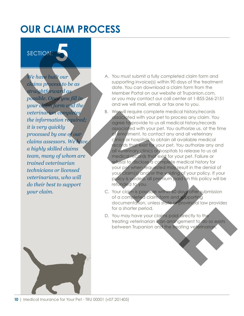# **OUR CLAIM PROCESS**

## SECTION:

*We have built our claims process to be as straightforward as possible. Once you fill in your claim form and the veterinarian completes the information required; it is very quickly processed by one of our claims assessors. We have a highly skilled claims team, many of whom are trained veterinarian technicians or licensed veterinarians, who will do their best to support your claim.*

- A. You must submit a fully completed claim form and supporting invoice(s) within 90 days of the treatment date. You can download a claim form from the Member Portal on our website at Trupanion.com, or you may contact our call center at 1-855-266-2151 and we will mail, email, or fax one to you.
- B. We will require complete medical history/records associated with your pet to process any claim. You agree to provide to us all medical history/records associated with your pet. You authorize us, at the time of enrollment, to contact any and all veterinary clinics or hospitals to obtain all available medical records that exist for your pet. You authorize any and all veterinary clinics or hospitals to release to us all medical records that exist for your pet. Failure or refusal to disclose a complete medical history for your pet when requested may result in the denial of your claim(s) and/or the voiding of your policy. If your policy is voided, all premium paid on this policy will be refunded to you. **SECTION:**<br>
We have writted with the set of the summarized to the state of the state of the state of the state of the state of the state of the state of the state of the state of the state of the state of the state of the
	- C. Your claim is payable within 60 days after submission of a completed claim form and supporting documentation, unless state or provincial law provides for a shorter period.
	- D. You may have your claims paid directly to the treating veterinarian if an arrangement to do so exists between Trupanion and the treating veterinarian.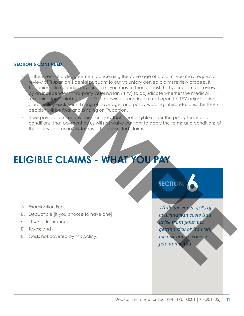## **SECTION 5 CONTINUED**

E. In the event of a disagreement concerning the coverage of a claim, you may request a review of Trupanion's denial pursuant to our voluntary denied claims review process. If Trupanion affirms denial of your claim, you may further request that your claim be reviewed by an independent third-party veterinarian (ITPV) to adjudicate whether the medical reasoning for denial is justified. The following scenarios are not open to ITPV adjudication: direct policy exclusions, timing of coverage, and policy wording interpretations. The ITPV's decision will be final and binding on Trupanion. SECTION: A<br>
A Examination feature of the state of the state of the cluster of the cluster of the cluster of the state of the state of the state of the state of the state of the state of the state of the state of the state

F. If we pay a claim for any illness or injury that is not eligible under the policy terms and conditions, that payment by us will not waive our right to apply the terms and conditions of this policy appropriately to any other submitted claims.

# **ELIGIBLE CLAIMS - WHAT YOU PAY**

- A. Examination Fees;
- B. Deductible (if you choose to have one);
- C. 10% Co-Insurance;
- D. Taxes; and
- E. Costs not covered by this policy.

*While we cover 90% of veterinarian costs that arise from your pet getting sick or injured, we ask you to cover a few items, too.*

**6**

**SECTION:**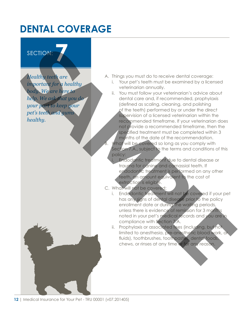# **DENTAL COVERAGE**

## SECTION:

*Healthy teeth are important for a healthy body. We are here to help. We ask that you do your part to keep your pet's teeth and gums healthy.*

- A. Things you must do to receive dental coverage:
	- i. Your pet's teeth must be examined by a licensed veterinarian annually.
	- ii. You must follow your veterinarian's advice about dental care and, if recommended, prophylaxis (defined as scaling, cleaning, and polishing
- of the teeth) performed by or under the direct supervision of a licensed veterinarian within the recommended timeframe. If your veterinarian does not provide a recommended timeframe, then the specified treatment must be completed within 3 months of the date of the recommendation. What will be covered so long as you comply with Section 7.A., subject to the terms and conditions of this policy: **SECTIC NET AND SECTION CONSULTER AND SECTION CONSULTER AND SECTION CONSULTER AND SECTION CONSULTER AND SECTION CONSULTER AND SECTION CONSULTER AND SECTION CONSULTER AND SECTION CONSULTER AND SECTION CONSULTER AND SECTION** 
	- Endodontic treatment due to dental disease or trauma for canine and carnassial teeth. If endodontic treatment is performed on any other teeth, an amount equivalent to the cost of extraction is eligible.
	- C. What will not be covered:
		- i. Endodontic treatment will not be covered if your pet has any signs of dental disease prior to the policy enrollment date or during the waiting periods, unless there is evidence of remission for 3 months noted in your pet's medical records and you are in compliance with Section 7.A.
		- ii. Prophylaxis or associated fees (including, but not limited to anesthesia, pre-anesthetic blood work, or fluids), toothbrushes, toothpastes, dental foods, chews, or rinses at any time or for any reason.

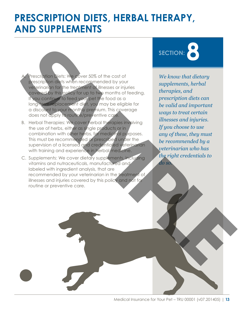# **PRESCRIPTION DIETS, HERBAL THERAPY, AND SUPPLEMENTS**

Prescription Diets: We cover 50% of the cost of prescription diets when recommended by your veterinarian for the treatment of illnesses or injuries covered by this policy for up to two months of feeding. If you continue to feed your pet the food as a long-term replacement diet, you may be eligible for a discount to your monthly premium. This coverage does not apply to routine/preventive care. **ENERGY AND THE CONFIDENCE CONFIDENCE CONFIDENCE CONFIDENCE CONFIDENCE CONFIDENCE CONFIDENCE CONFIDENCE CONFIDENCE CONFIDENCE CONFIDENCE CONFIDENCE CONFIDENCE CONFIDENCE CONFIDENCE CONFIDENCE CONFIDENCE CONFIDENCE CONFIDEN** 

- B. Herbal Therapies: We cover herbal therapies involving the use of herbs, either as single products or in combination with other herbs, for medicinal purposes. This must be recommended or prescribed under the supervision of a licensed and credentialed veterinarian with training and experience in herbal medicine.
- C. Supplements: We cover dietary supplements, including vitamins and nutraceuticals, manufactured and labeled with ingredient analysis, that are recommended by your veterinarian in the treatment of illnesses and injuries covered by this policy and not for routine or preventive care.



*We know that dietary supplements, herbal therapies, and prescription diets can be valid and important ways to treat certain illnesses and injuries. If you choose to use any of these, they must be recommended by a veterinarian who has the right credentials to do so.*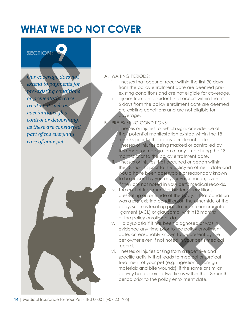# **WHAT WE DO NOT COVER**

## SECTION:

*Our coverage does not extend to payments for pre-existing conditions or preventative care treatment such as vaccinations, flea control or deworming, as these are considered part of the everyday care of your pet.*



### A. WAITING PERIODS:

- i. Illnesses that occur or recur within the first 30 days from the policy enrollment date are deemed pre existing conditions and are not eligible for coverage.
- ii. Injuries from an accident that occurs within the first 5 days from the policy enrollment date are deemed pre-existing conditions and are not eligible for coverage.

## **PRE-EXISTING CONDITIONS:**

Illnesses or injuries for which signs or evidence of their potential manifestation existed within the 18 months prior to the policy enrollment date. Illnesses or injuries being masked or controlled by treatment or medication at any time during the 18 months prior to the policy enrollment date. iii. Illnesses or injuries that occurred or began within

- the 18 months prior to the policy enrollment date and would have been observable or reasonably known to be present by you or your veterinarian, even if they are not noted in your pet's medical records.
- iv. The cost of treatment for bilateral conditions presenting on one side of the body, if that condition was a pre-existing condition on the other side of the body, such as luxating patella or anterior cruciate ligament (ACL) or glaucoma, within18 months of the policy enrollment date.
- v. Hip dysplasia if it has been diagnosed or was in evidence any time prior to the policy enrollment date, or reasonably known to be present by the pet owner even if not noted in your pet's medical records.
- vi. Illnesses or injuries arising from a repetitive and specific activity that leads to medical or surgical treatment of your pet (e.g. ingestion of foreign materials and bite wounds), if the same or similar activity has occurred two times within the 18 month period prior to the policy enrollment date.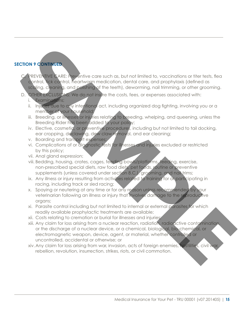## **SECTION 9 CONTINUED**

PREVENTIVE CARE: Preventive care such as, but not limited to, vaccinations or titer tests, flea control, tick control, heartworm medication, dental care, and prophylaxis (defined as scaling, cleaning, and polishing of the teeth), deworming, nail trimming, or other grooming.

- D. OTHER EXCLUSIONS: We do not insure the costs, fees, or expenses associated with:
	- i. Examinations;
	- ii. Injuries due to any intentional act, including organized dog fighting, involving you or a member of your household;
	- iii. Breeding, or illnesses or injuries relating to breeding, whelping, and queening, unless the Breeding Rider has been added to your policy;
	- iv. Elective, cosmetic, or preventive procedures, including but not limited to tail docking, ear cropping, declawing, dew claw removal, and ear cleaning;
	- v. Boarding and transport expenses;
	- vi. Complications of or diagnostic tests for illnesses and injuries excluded or restricted by this policy;
	- vii. Anal gland expression;
	- viii. Bedding, housing, crates, cages, feeding bowls/platforms, feeding, exercise, non-prescribed special diets, raw food diets, pet foods, routine or preventive supplements (unless covered under section 8.C.), grooming, and nail trims;
	- ix. Any illness or injury resulting from activities related to training for or participating in racing, including track or sled racing;
	- x. Spaying or neutering at any time or for any reason unless recommended by your veterinarian following an illness or injury that involves damage to the reproductive organs;
	- xi. Parasite control including but not limited to internal or external parasites for which readily available prophylactic treatments are available;
	- xii. Costs relating to cremation or burial for illnesses and injuries;
- xiii. Any claim for loss arising from a nuclear reaction, radiation, radioactive contamination, or the discharge of a nuclear device, or a chemical, biological, bio-chemical, or electromagnetic weapon, device, agent, or material, whether controlled or uncontrolled, accidental or otherwise; or **SECTION 9 CONTINUES:**<br>
PREVISIONS CARE Preventive care such as, but not limited to, vaccinations or titer tests, filed control and control in the control control control control control control control control control con
	- xiv.Any claim for loss arising from war, invasion, acts of foreign enemies, hostilities, civil war, rebellion, revolution, insurrection, strikes, riots, or civil commotion.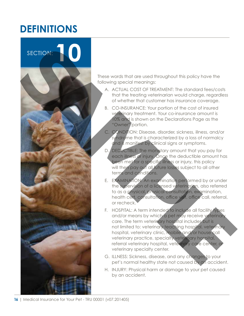# **DEFINITIONS**

SECTION:



These words that are used throughout this policy have the following special meanings:

- A. ACTUAL COST OF TREATMENT: The standard fees/costs that the treating veterinarian would charge, regardless of whether that customer has insurance coverage.
- B. CO-INSURANCE: Your portion of the cost of insured veterinary treatment. Your co-insurance amount is 10% and is shown on the Declarations Page as the "Owner" portion.
- C. CONDITION: Disease, disorder, sickness, illness, and/or syndrome that is characterized by a loss of normalcy and is manifest by clinical signs or symptoms.
- D. DEDUCTIBLE: The monetary amount that you pay for each illness or injury. Once the deductible amount has been met for a specific illness or injury, this policy will then pay out all future losses subject to all other terms and conditions.
- E. EXAMINATION: An examination performed by or under the supervision of a licensed veterinarian, also referred to as a physical, physical consultation, examination, health cert, consultation, office visit, office call, referral, or recheck.
- F. HOSPITAL: A term intended to include all facility types and/or means by which a pet may receive veterinary care. The term veterinary hospital includes but is not limited to: veterinary teaching hospital, veterinary hospital, veterinary clinic, mobile and/or house call veterinary practice, specialty veterinary hospital, referral veterinary hospital, veterinary care center, or veterinary specialty center.
- G. ILLNESS: Sickness, disease, and any changes to your pet's normal healthy state not caused by an accident.
- H. INJURY: Physical harm or damage to your pet caused by an accident.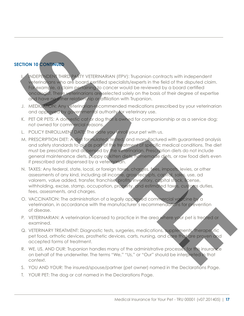## **SECTION 10 CONTINUED**

I. INDEPENDENT THIRD PARTY VETERINARIAN (ITPV): Trupanion contracts with independent veterinarians who are board certified specialists/experts in the field of the disputed claim. For example, a claim pertaining to cancer would be reviewed by a board certified oncologist. These veterinarians are selected solely on the basis of their degree of expertise and have no other relationship or affiliation with Trupanion.

- J. MEDICATION: Any veteringrian-recommended medications prescribed by your veterinarian and approved by governmental authority for veterinary use.
- K. PET OR PETS: A domestic cat or dog that is owned for companionship or as a service dog; not owned for commercial reasons.
- L. POLICY ENROLLMENT DATE: The date you enroll your pet with us.
- M. PRESCRIPTION DIET: A diet formulated, tested, and manufactured with guaranteed analysis and safety standards to aid as part of the treatment of specific medical conditions. The diet must be prescribed and dispensed by the veterinarian. Prescription diets do not include general maintenance diets, puppy or kitten diets, homemade diets, or raw food diets even if prescribed and dispensed by a veterinarian. **SECTION 10 COMPARIATE PARTY VETERING AND (ITPV): Trupanion contracts with independent<br>
State of the control specifical specifical specifical specifical specifical specifical specifical specifical specifical specifical spe** 
	- N. TAXES: Any federal, state, local, or foreign taxes, charges, fees, imposts, levies, or other assessments of any kind, including all income, gross receipts, capital, sales, use, ad valorem, value added, transfer, franchise, profits, inventory, capital stock, license, withholding, excise, stamp, occupation, property, and estimated taxes, customs duties, fees, assessments, and charges.
	- O. VACCINATION: The administration of a legally approved commercial vaccine by a veterinarian, in accordance with the manufacturer's recommendations for prevention of disease.
	- P. VETERINARIAN: A veterinarian licensed to practice in the area where your pet is treated or examined.
	- Q. VETERINARY TREATMENT: Diagnostic tests, surgeries, medications, supplements, therapeutic pet food, orthotic devices, prosthetic devices, carts, nursing, and care that are proven and accepted forms of treatment.
	- R. WE, US, AND OUR: Trupanion handles many of the administrative processes for this insurance on behalf of the underwriter. The terms "We," "Us," or "Our" should be interpreted in that context.
	- S. YOU AND YOUR: The insured/spouse/partner (pet owner) named in the Declarations Page.
	- T. YOUR PET: The dog or cat named in the Declarations Page.